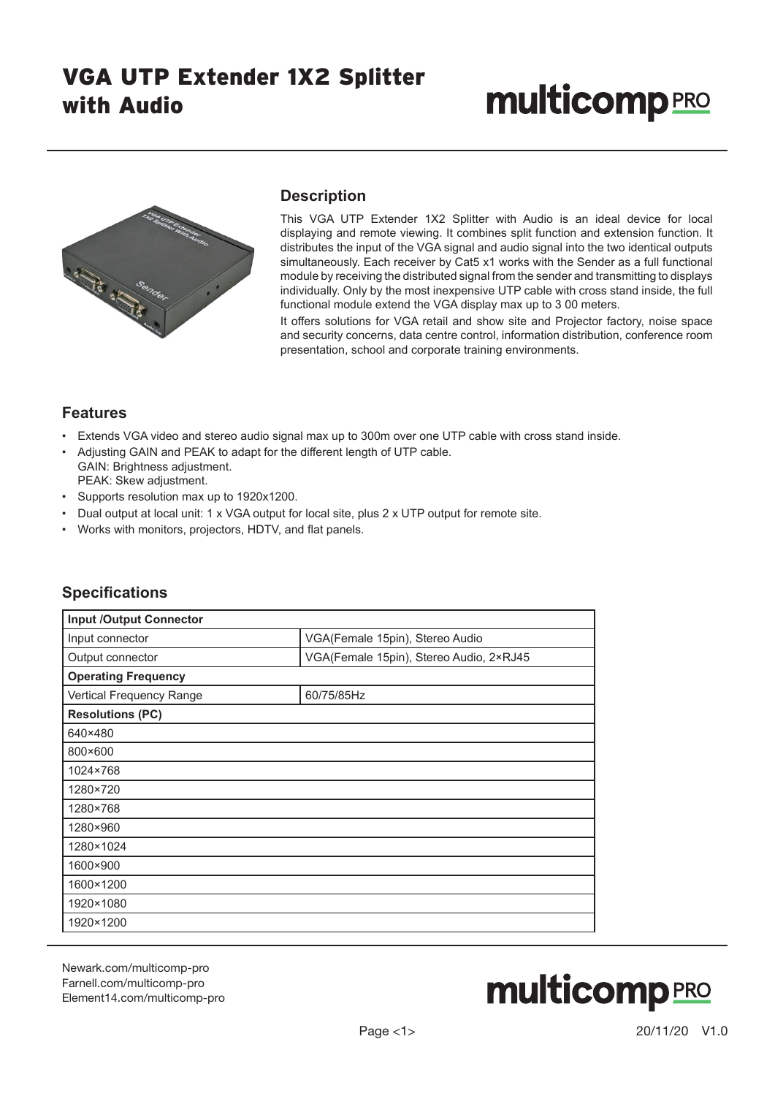# **multicomp**PRO



### **Description**

This VGA UTP Extender 1X2 Splitter with Audio is an ideal device for local displaying and remote viewing. It combines split function and extension function. It distributes the input of the VGA signal and audio signal into the two identical outputs simultaneously. Each receiver by Cat5 x1 works with the Sender as a full functional module by receiving the distributed signal from the sender and transmitting to displays individually. Only by the most inexpensive UTP cable with cross stand inside, the full functional module extend the VGA display max up to 3 00 meters.

It offers solutions for VGA retail and show site and Projector factory, noise space and security concerns, data centre control, information distribution, conference room presentation, school and corporate training environments.

#### **Features**

- Extends VGA video and stereo audio signal max up to 300m over one UTP cable with cross stand inside.
- Adjusting GAIN and PEAK to adapt for the different length of UTP cable. GAIN: Brightness adjustment. PEAK: Skew adjustment.
- Supports resolution max up to 1920x1200.
- Dual output at local unit: 1 x VGA output for local site, plus 2 x UTP output for remote site.
- Works with monitors, projectors, HDTV, and flat panels.

| <b>Input /Output Connector</b> |                                         |  |
|--------------------------------|-----------------------------------------|--|
| Input connector                | VGA(Female 15pin), Stereo Audio         |  |
| Output connector               | VGA(Female 15pin), Stereo Audio, 2×RJ45 |  |
| <b>Operating Frequency</b>     |                                         |  |
| Vertical Frequency Range       | 60/75/85Hz                              |  |
| <b>Resolutions (PC)</b>        |                                         |  |
| 640×480                        |                                         |  |
| 800×600                        |                                         |  |
| 1024×768                       |                                         |  |
| 1280×720                       |                                         |  |
| 1280×768                       |                                         |  |
| 1280×960                       |                                         |  |
| 1280×1024                      |                                         |  |
| 1600×900                       |                                         |  |
| 1600×1200                      |                                         |  |
| 1920×1080                      |                                         |  |
| 1920×1200                      |                                         |  |

### **Specifications**

Newark.com/multicomp-pro Farnell.com/multicomp-pro Element14.com/multicomp-pro